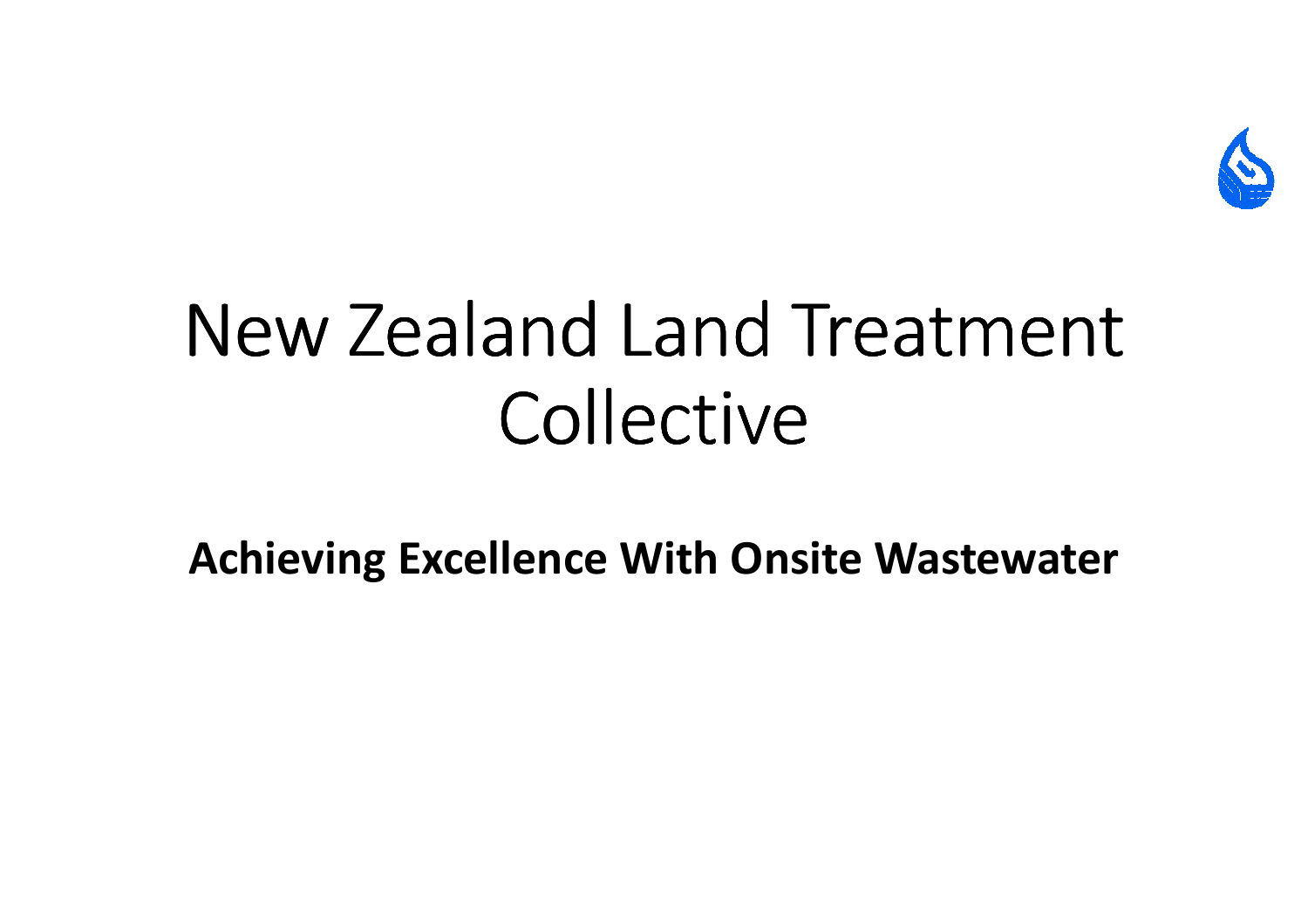

# New Zealand Land Treatment Collective

Achieving Excellence With Onsite Wastewater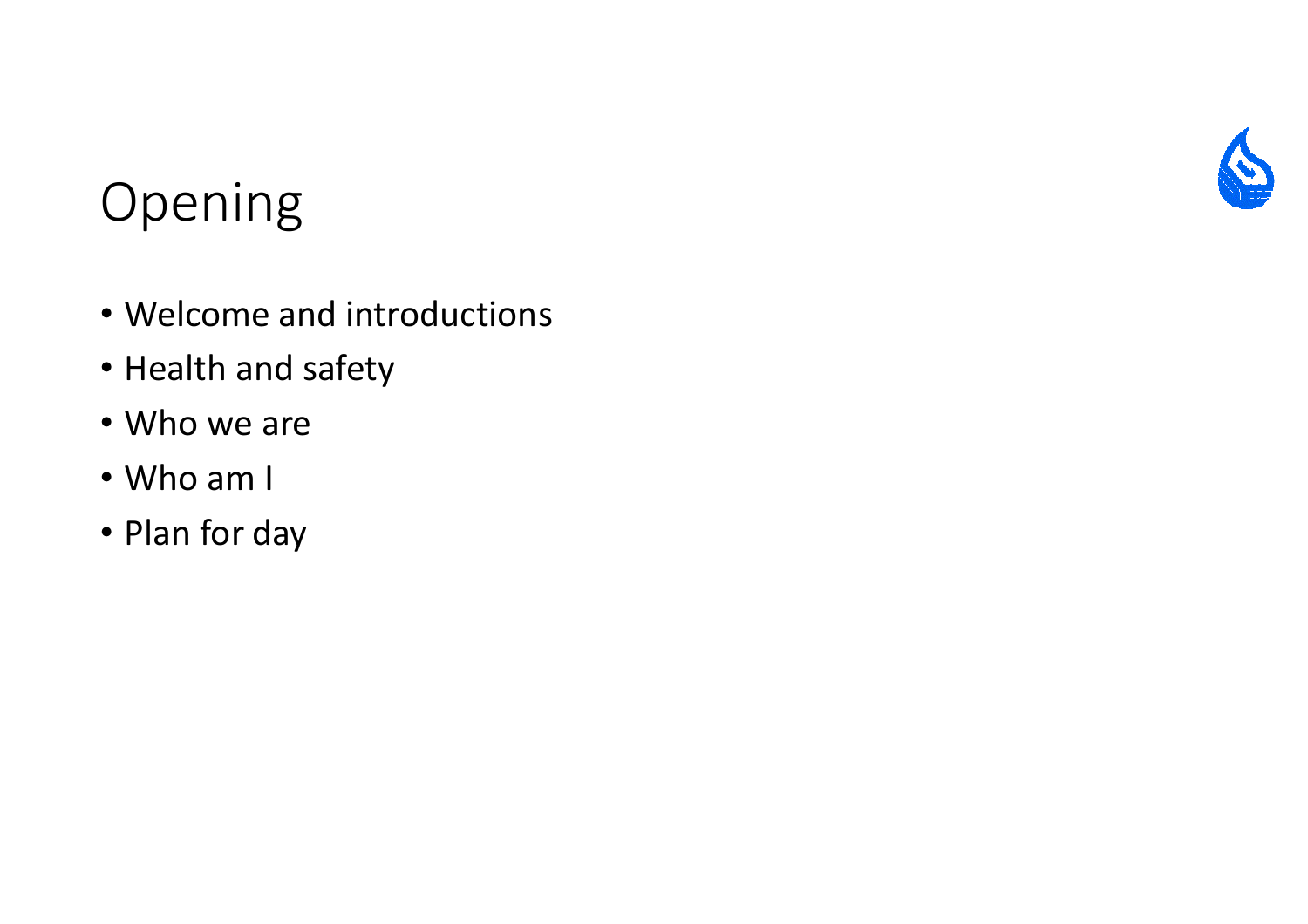

#### Opening

- Welcome and introductions
- Health and safety
- Who we are
- Who am I
- Plan for day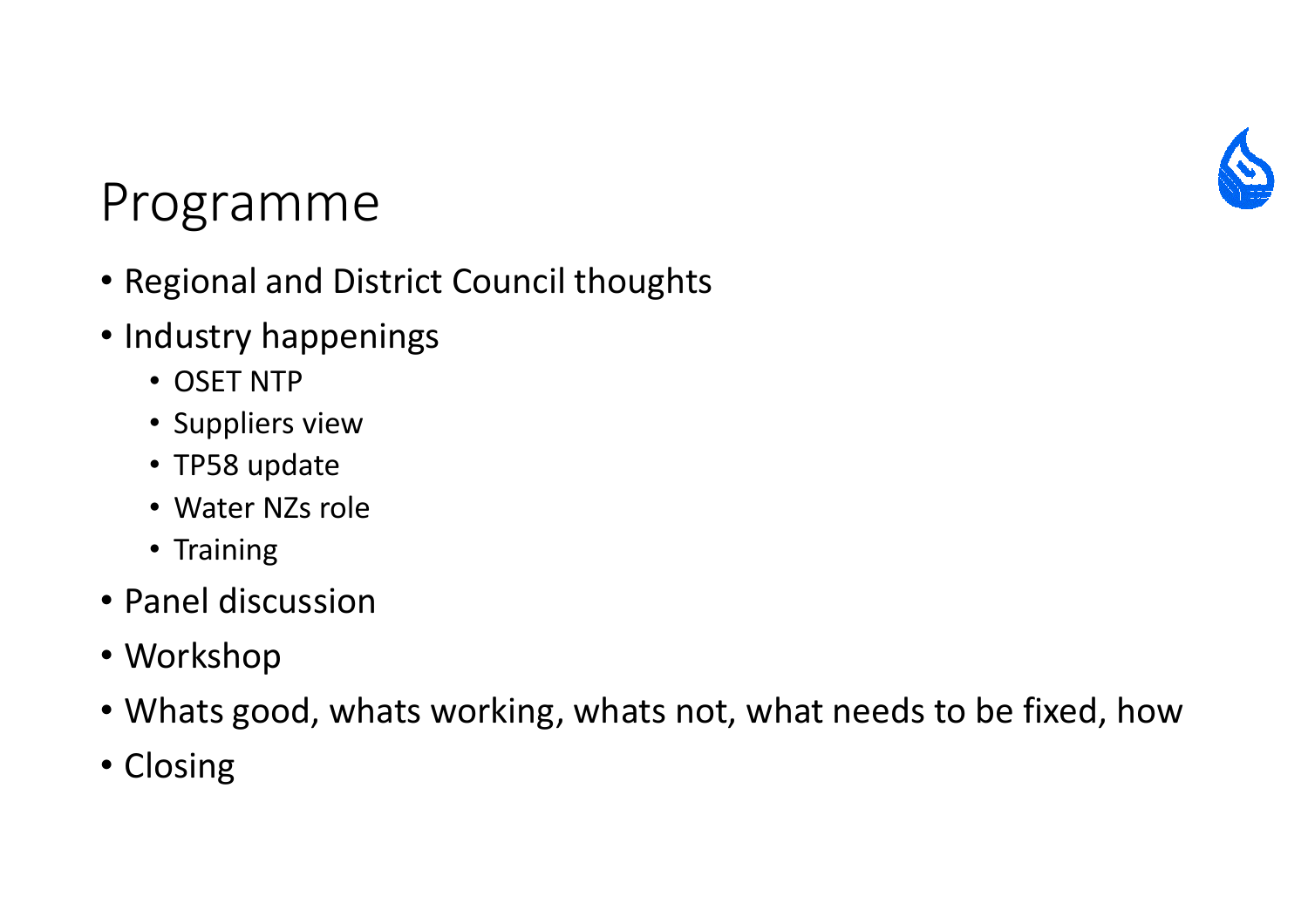

#### Programme

- Regional and District Council thoughts
- Industry happenings
	- OSET NTP
	- Suppliers view
	- TP58 update
	- Water NZs role
	- Training
- Panel discussion
- Workshop
- Whats good, whats working, whats not, what needs to be fixed, how
- Closing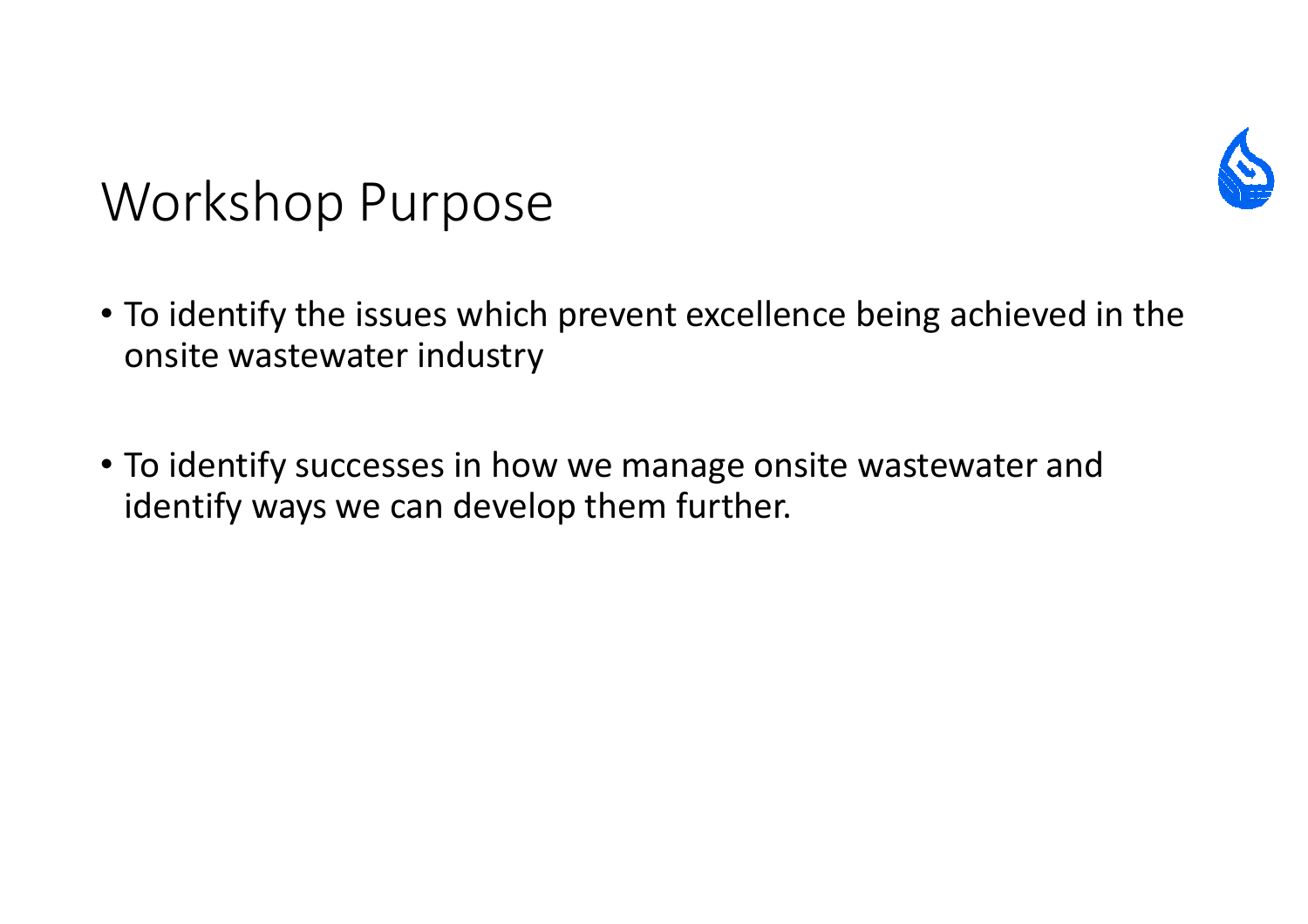

#### Workshop Purpose

- To identify the issues which prevent excellence being achieved in the onsite wastewater industry
- To identify successes in how we manage onsite wastewater and identify ways we can develop them further.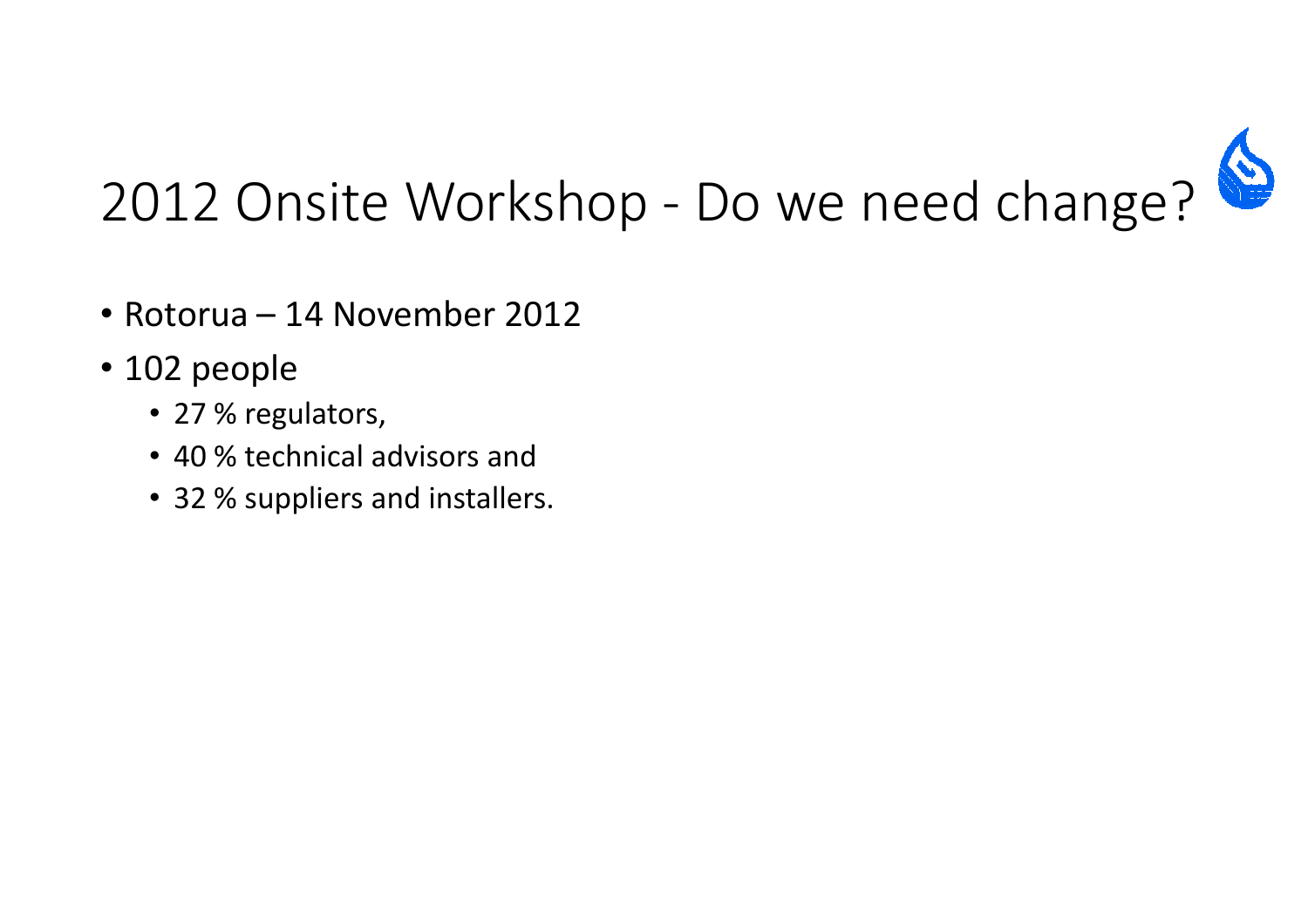

- Rotorua 14 November 2012
- 102 people
	- 27 % regulators,
	- 40 % technical advisors and
	- 32 % suppliers and installers.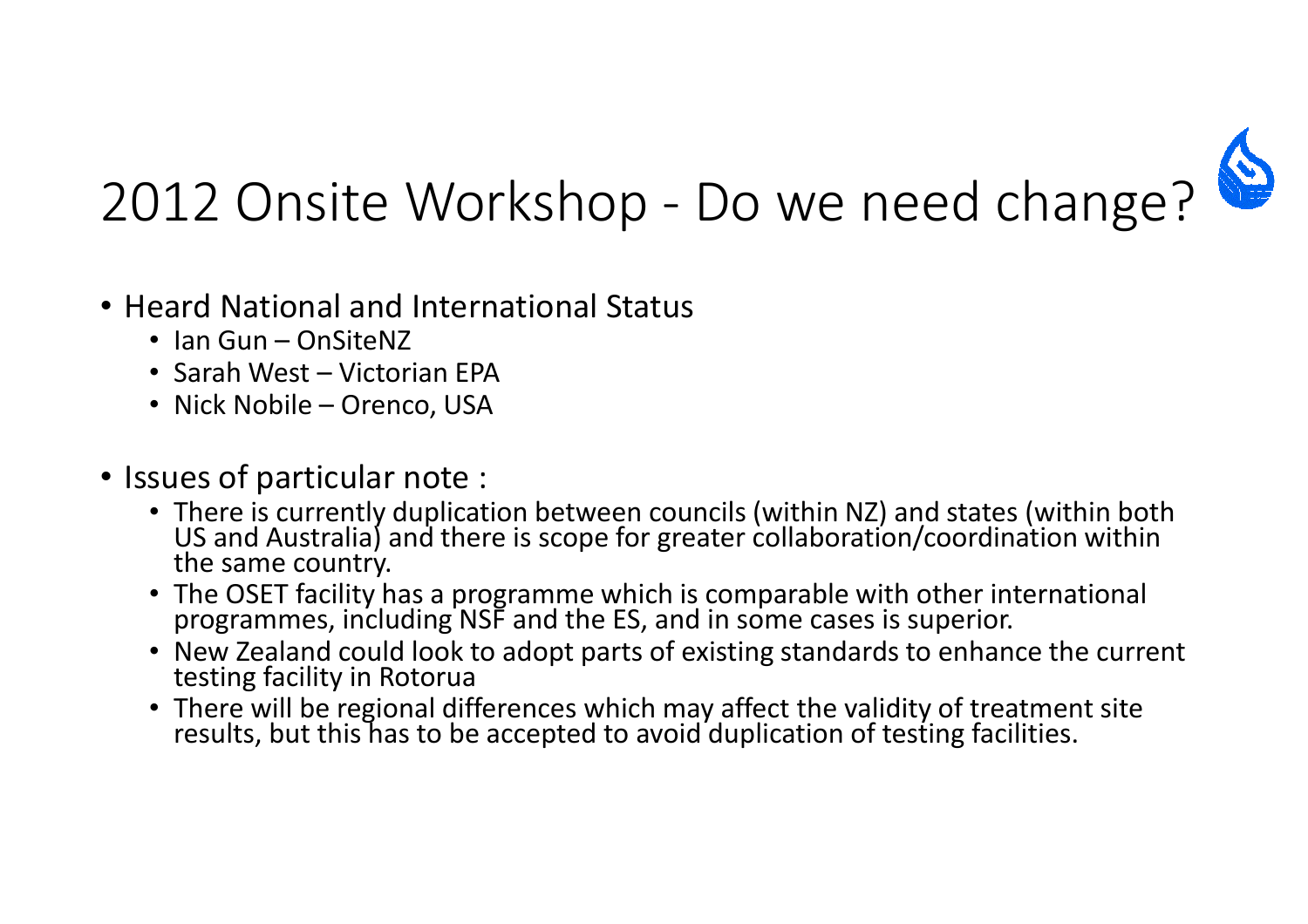

- Heard National and International Status
	- Ian Gun OnSiteNZ
	- Sarah West Victorian EPA
	- Nick Nobile Orenco, USA
- Issues of particular note :
	- There is currently duplication between councils (within NZ) and states (within both US and Australia) and there is scope for greater collaboration/coordination within the same country.
	- The OSET facility has a programme which is comparable with other international programmes, including NSF and the ES, and in some cases is superior.
	- New Zealand could look to adopt parts of existing standards to enhance the current<br>testing facility in Rotorua
	- There will be regional differences which may affect the validity of treatment site results, but this has to be accepted to avoid duplication of testing facilities.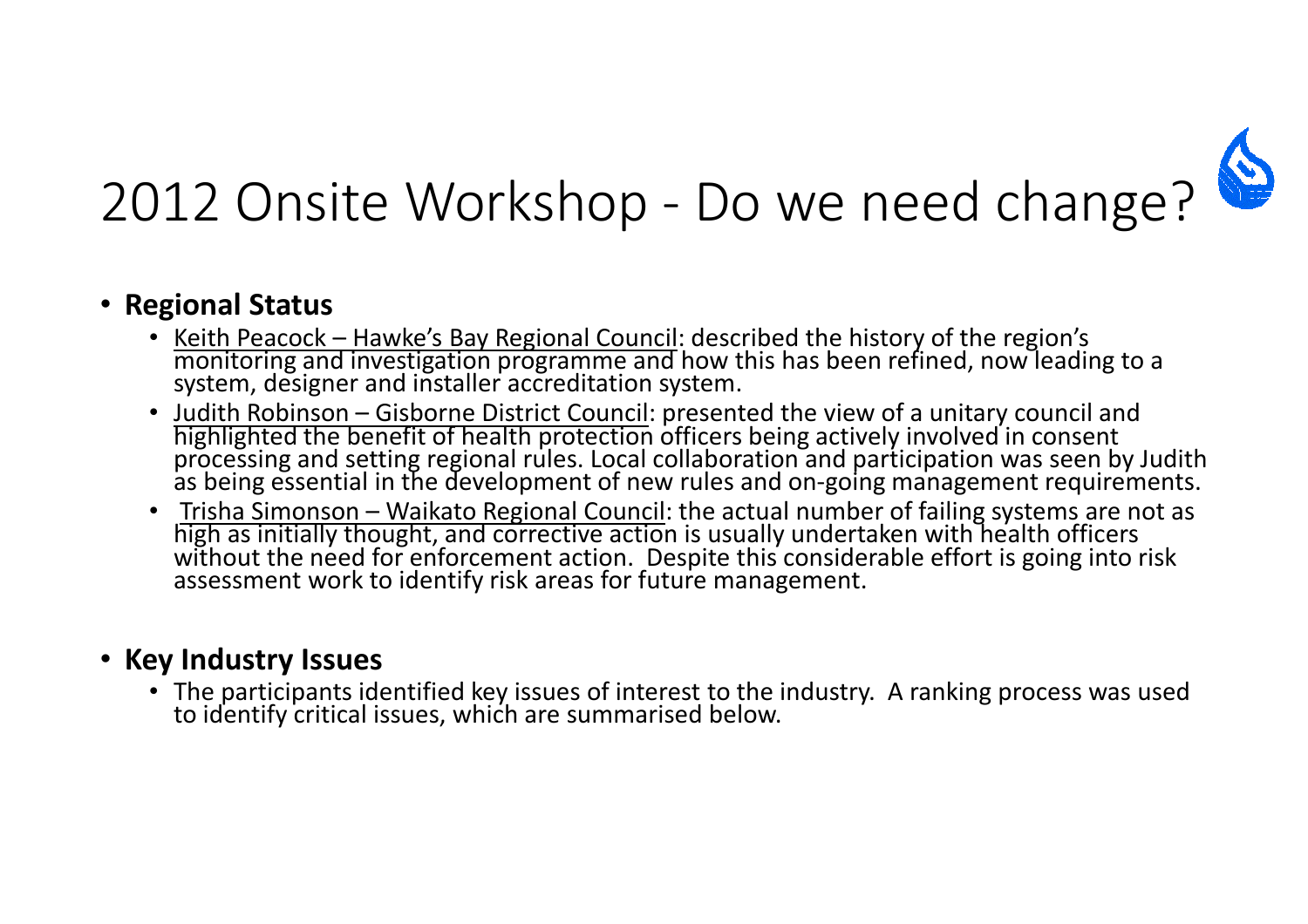

#### • Regional Status

- Keith Peacock Hawke's Bay Regional Council: described the history of the region's<br>monitoring and investigation programme and how this has been refined, now leading to a<br>system, designer and installer accreditation syst
- Judith Robinson Gisborne District Council: presented the view of a unitary council and highlighted the benefit of health protection officers being actively involved in consent<br>processing and setting regional rules. Local collaboration and participation was seen by Judith<br>as being essential in the development
- Trisha Simonson Waikato Regional Council: the actual number of failing systems are not as high as initially thought, and corrective action is usually undertaken with health officers<br>without the need for enforcement action. Despite this considerable effort is going into risk<br>assessment work to identify risk area

#### • Key Industry Issues

• The participants identified key issues of interest to the industry. A ranking process was used to identify critical issues, which are summarised below.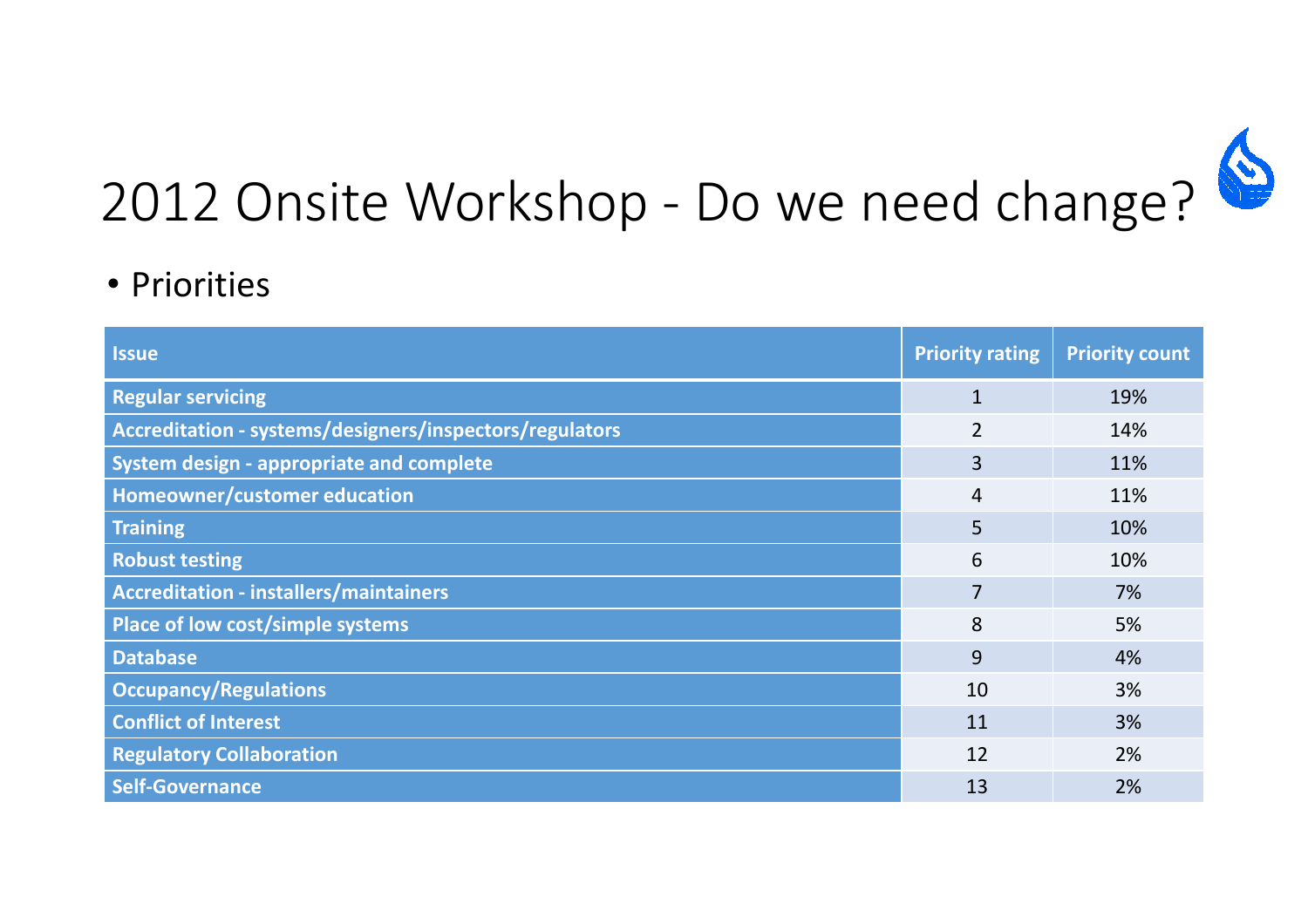

#### • Priorities

| <b>Issue</b>                                            | <b>Priority rating</b> | <b>Priority count</b> |
|---------------------------------------------------------|------------------------|-----------------------|
| <b>Regular servicing</b>                                | $\mathbf{1}$           | 19%                   |
| Accreditation - systems/designers/inspectors/regulators | $\overline{2}$         | 14%                   |
| System design - appropriate and complete                | 3                      | 11%                   |
| Homeowner/customer education                            | $\overline{4}$         | 11%                   |
| <b>Training</b>                                         | 5                      | 10%                   |
| <b>Robust testing</b>                                   | 6                      | 10%                   |
| <b>Accreditation - installers/maintainers</b>           | 7                      | 7%                    |
| Place of low cost/simple systems                        | 8                      | 5%                    |
| <b>Database</b>                                         | 9                      | 4%                    |
| <b>Occupancy/Regulations</b>                            | 10                     | 3%                    |
| <b>Conflict of Interest</b>                             | 11                     | 3%                    |
| <b>Regulatory Collaboration</b>                         | 12                     | 2%                    |
| <b>Self-Governance</b>                                  | 13                     | 2%                    |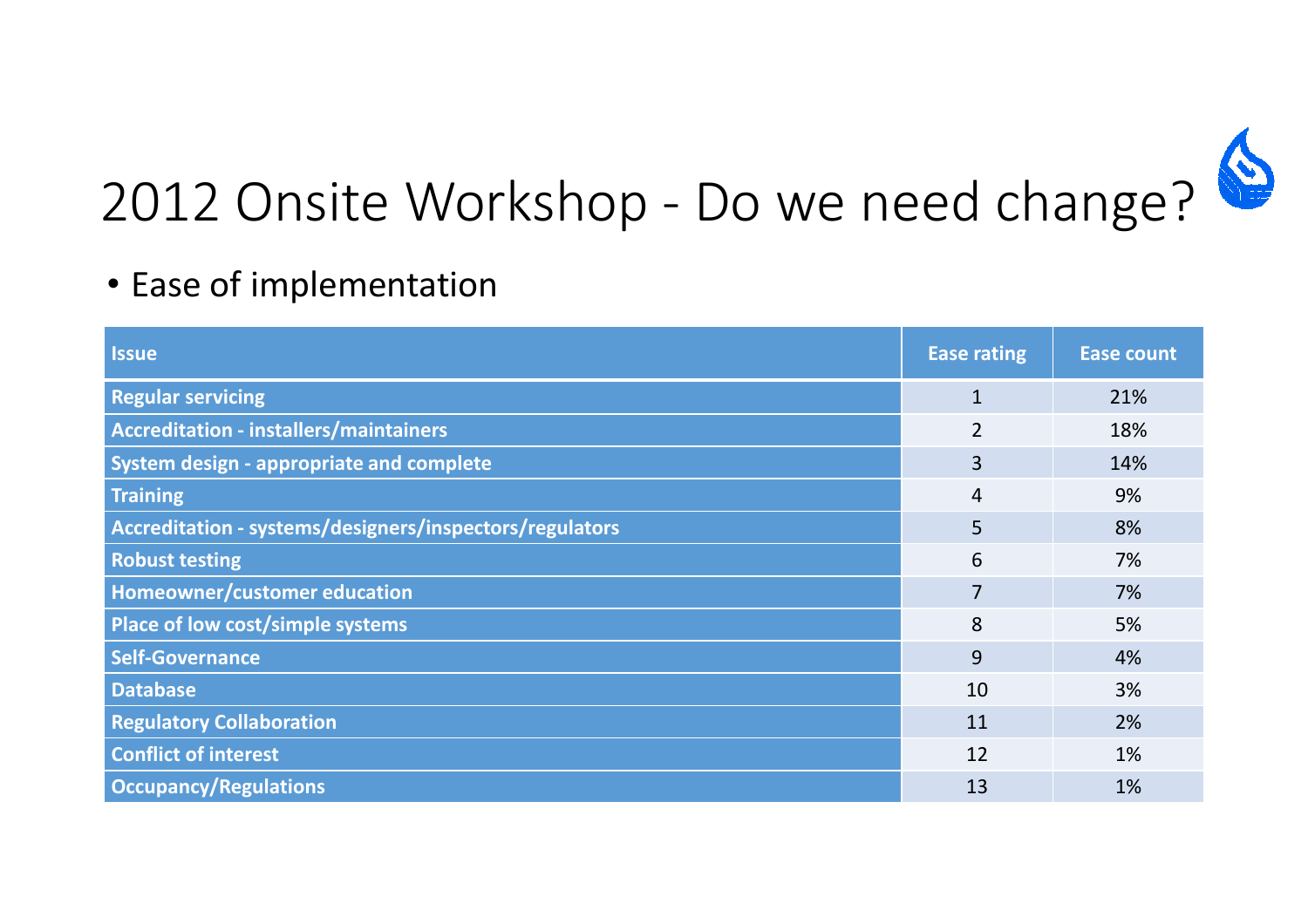

#### • Ease of implementation

| <b>Issue</b>                                            | <b>Ease rating</b> | <b>Ease count</b> |
|---------------------------------------------------------|--------------------|-------------------|
| <b>Regular servicing</b>                                | $\mathbf{1}$       | 21%               |
| Accreditation - installers/maintainers                  | $\overline{2}$     | 18%               |
| <b>System design - appropriate and complete</b>         | 3                  | 14%               |
| <b>Training</b>                                         | 4                  | 9%                |
| Accreditation - systems/designers/inspectors/regulators | 5                  | 8%                |
| <b>Robust testing</b>                                   | 6                  | 7%                |
| Homeowner/customer education                            | 7                  | 7%                |
| Place of low cost/simple systems                        | 8                  | 5%                |
| <b>Self-Governance</b>                                  | 9                  | 4%                |
| <b>Database</b>                                         | 10                 | 3%                |
| <b>Regulatory Collaboration</b>                         | 11                 | 2%                |
| <b>Conflict of interest</b>                             | 12                 | 1%                |
| <b>Occupancy/Regulations</b>                            | 13                 | 1%                |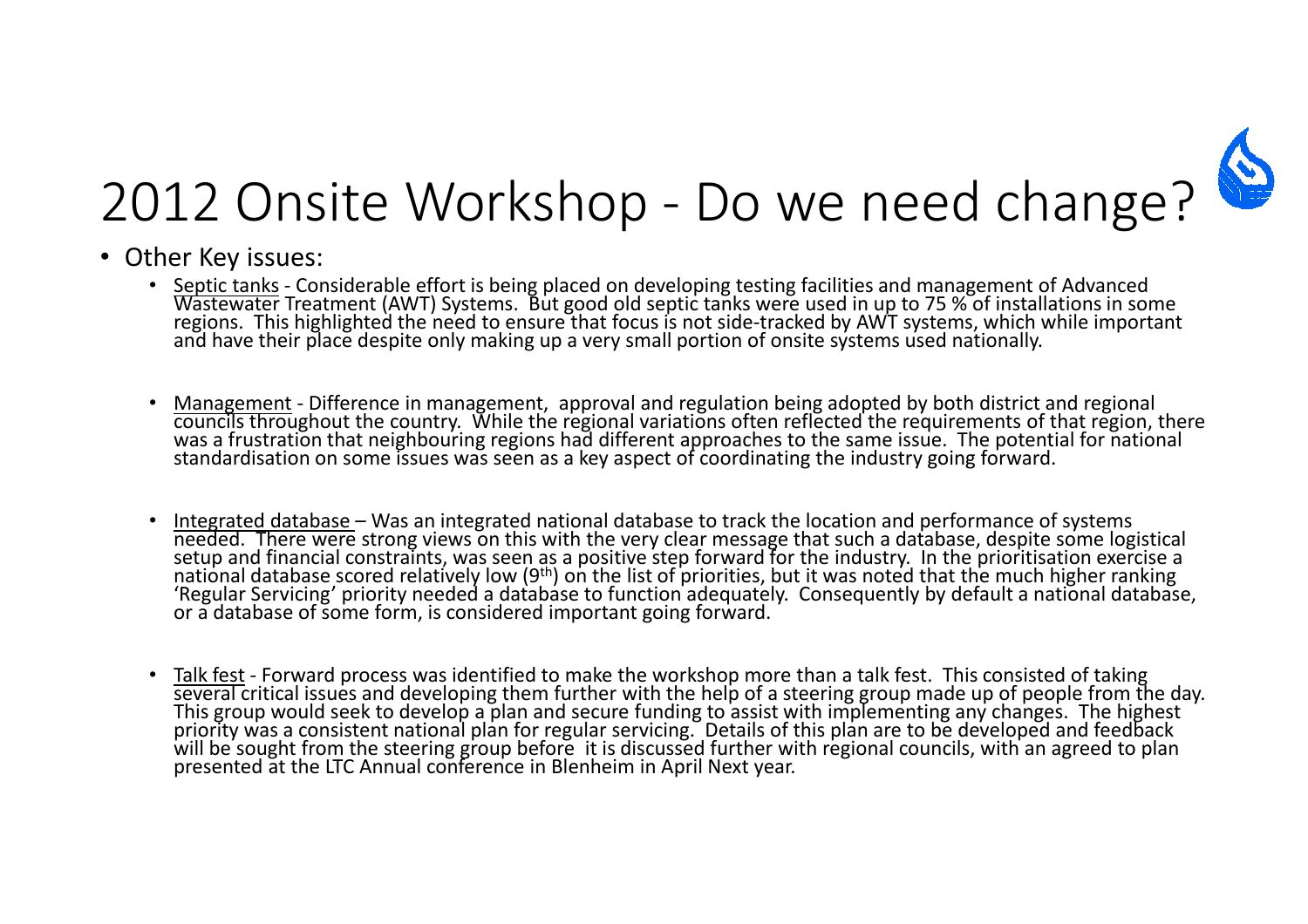

- Other Key issues:
	- Septic tanks Considerable effort is being placed on developing testing facilities and management of Advanced<br>Wastewater Treatment (AWT) Systems. But good old septic tanks were used in up to 75 % of installations in som
	- •Management - Difference in management, approval and regulation being adopted by both district and regional councils throughout the country. While the regional variations often reflected the requirements of that region, the
	- •Integrated database – Was an integrated national database to track the location and performance of systems<br>needed. There were strong views on this with the very clear message that such a database, despite some logistical<br>s
	- Talk fest Forward process was identified to make the workshop more than a talk fest. This consisted of taking several critical issues and developing them further with the help of a steering group made up of people from the day.<br>This group would seek to develop a plan and secure funding to assist with implementing any changes. The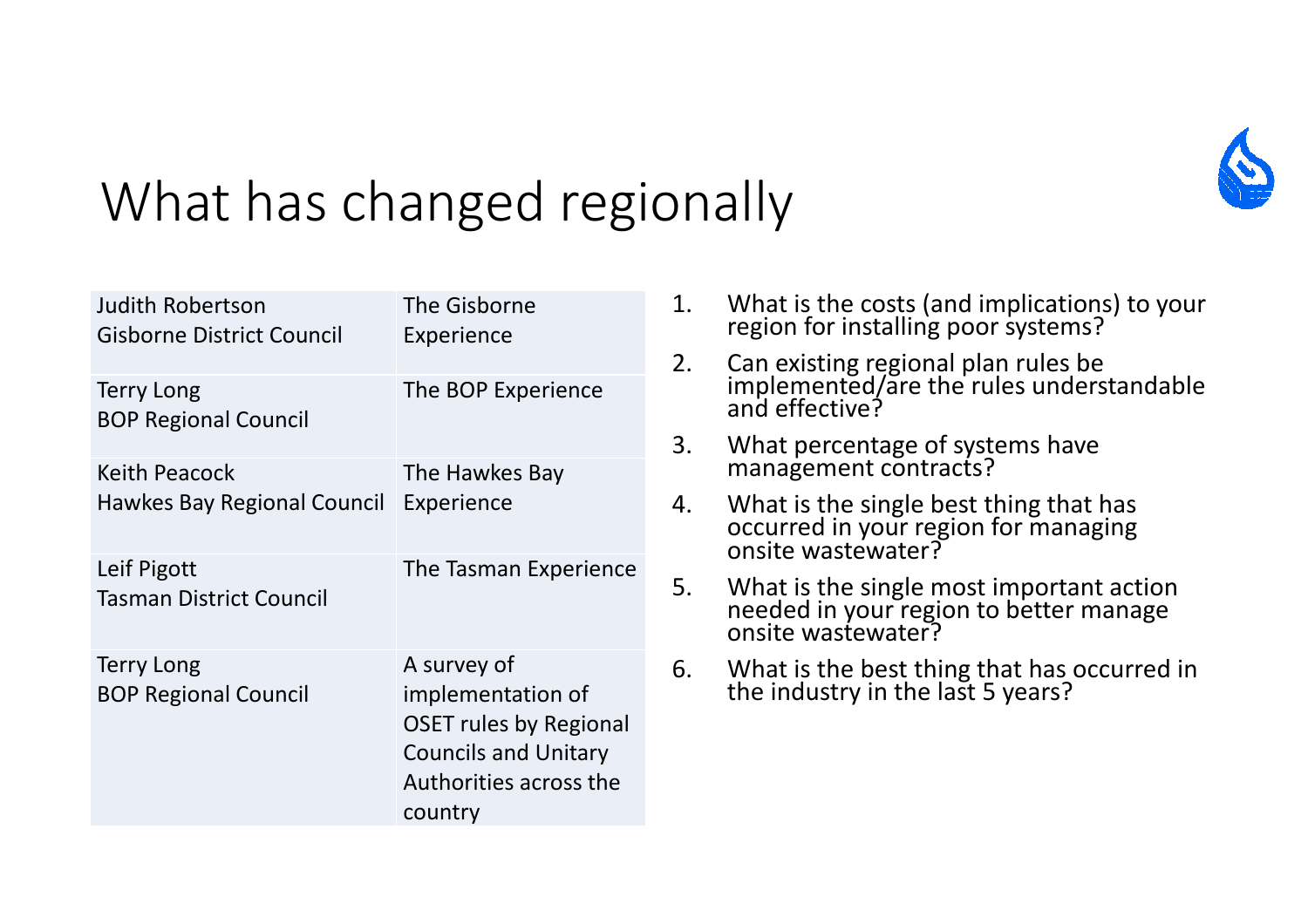

## What has changed regionally

| <b>Judith Robertson</b><br>Gisborne District Council | The Gisborne<br>Experience                                                                                                            |
|------------------------------------------------------|---------------------------------------------------------------------------------------------------------------------------------------|
| <b>Terry Long</b><br><b>BOP Regional Council</b>     | The BOP Experience                                                                                                                    |
| Keith Peacock<br>Hawkes Bay Regional Council         | The Hawkes Bay<br>Experience                                                                                                          |
| Leif Pigott<br><b>Tasman District Council</b>        | The Tasman Experience                                                                                                                 |
| <b>Terry Long</b><br><b>BOP Regional Council</b>     | A survey of<br>implementation of<br><b>OSET rules by Regional</b><br><b>Councils and Unitary</b><br>Authorities across the<br>country |

- 1. What is the costs (and implications) to your region for installing poor systems?
- 2. Can existing regional plan rules be<br>implemented/are the rules understandable<br>and effective?
- 3. What percentage of systems have management contracts?
- 4. What is the single best thing that has occurred in your region for managing onsite wastewater?
- 5. What is the single most important action<br>needed in your region to better manage<br>onsite wastewater?
- 6. What is the best thing that has occurred in the industry in the last 5 years?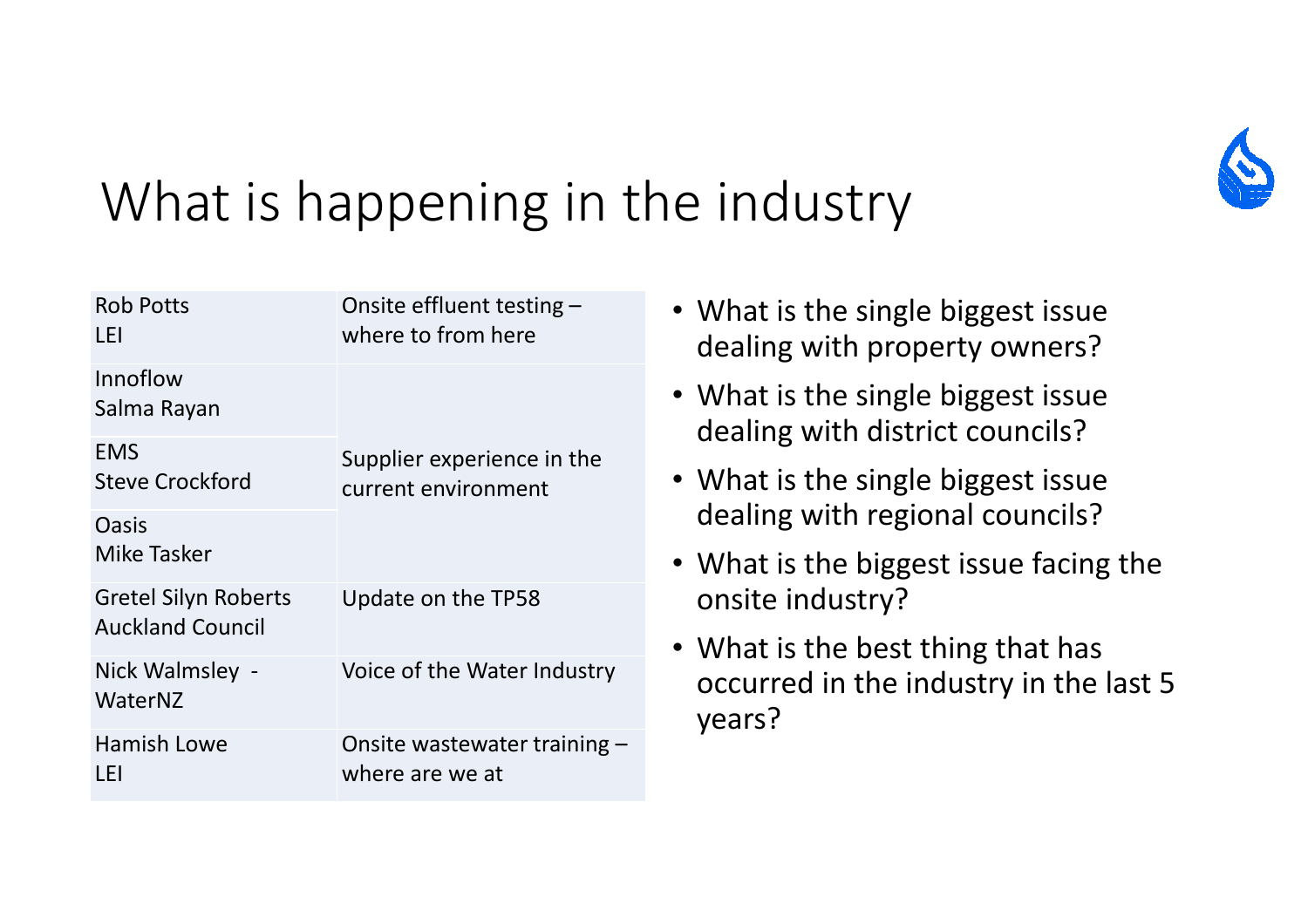

#### What is happening in the industry

| <b>Rob Potts</b><br>LEI                                | Onsite effluent testing $-$<br>where to from here |
|--------------------------------------------------------|---------------------------------------------------|
| Innoflow<br>Salma Rayan                                |                                                   |
| <b>EMS</b><br><b>Steve Crockford</b>                   | Supplier experience in the<br>current environment |
| Oasis<br>Mike Tasker                                   |                                                   |
| <b>Gretel Silyn Roberts</b><br><b>Auckland Council</b> | Update on the TP58                                |
| Nick Walmsley -<br>WaterNZ                             | Voice of the Water Industry                       |
| Hamish Lowe<br>l Fl                                    | Onsite wastewater training –<br>where are we at   |

- What is the single biggest issue dealing with property owners?
- What is the single biggest issue dealing with district councils?
- What is the single biggest issue dealing with regional councils?
- What is the biggest issue facing the onsite industry?
- What is the best thing that has occurred in the industry in the last 5 years?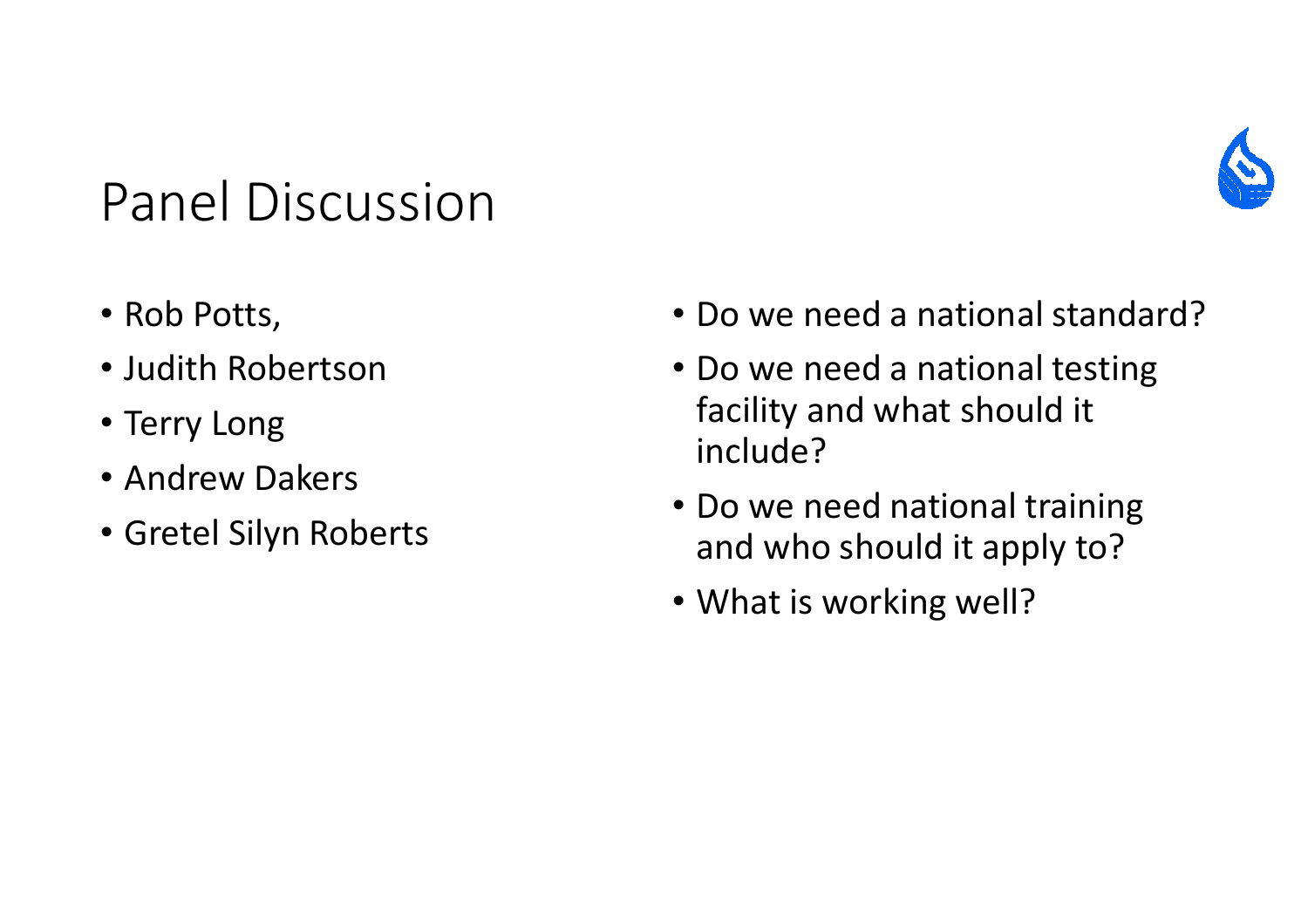#### Panel Discussion



- Rob Potts,
- Judith Robertson
- Terry Long
- Andrew Dakers
- Gretel Silyn Roberts
- Do we need a national standard?
- Do we need a national testing facility and what should it include?
- Do we need national training and who should it apply to?
- What is working well?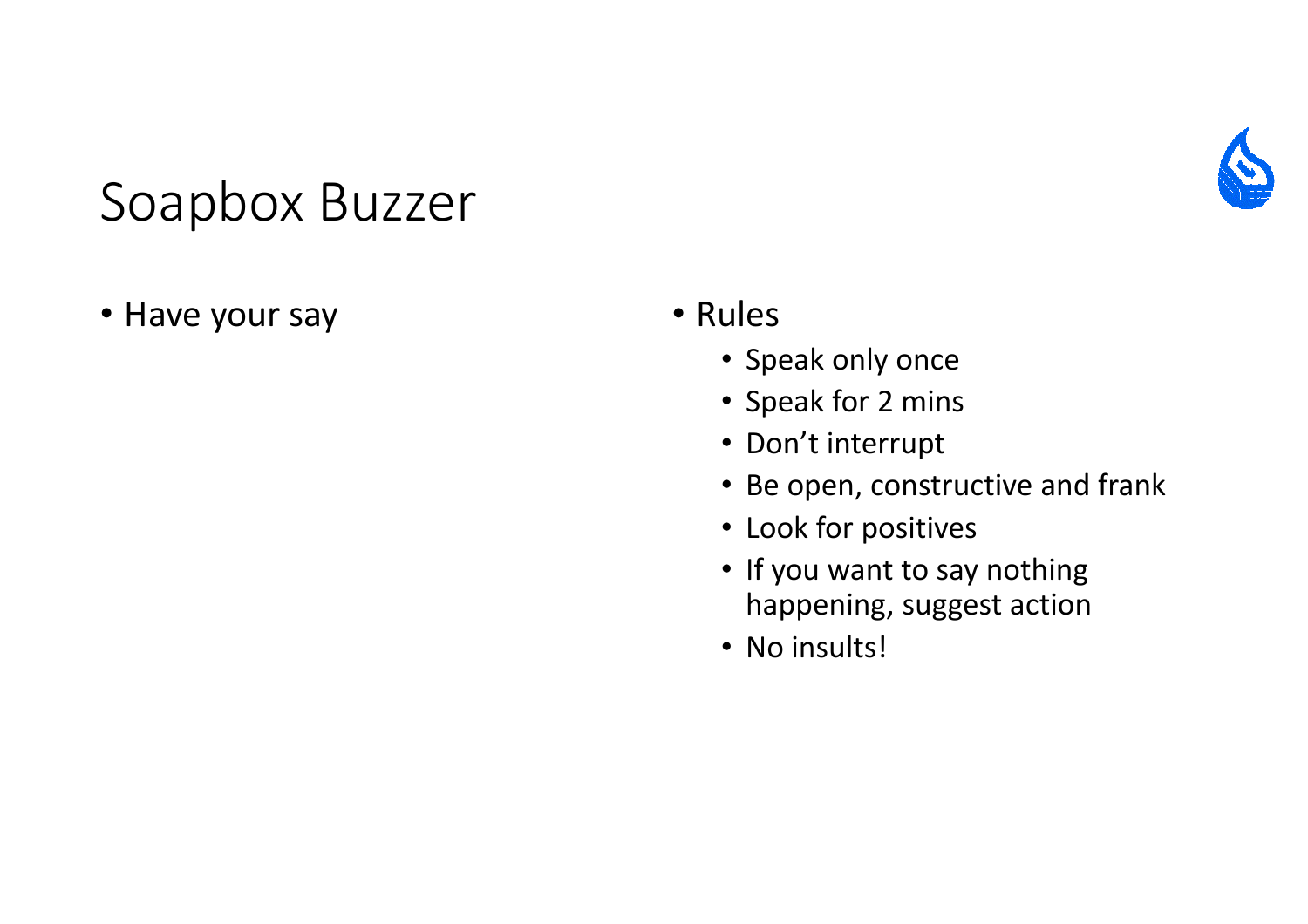#### Soapbox Buzzer

• Have your say

- Rules
	- Speak only once
	- Speak for 2 mins
	- Don't interrupt
	- Be open, constructive and frank
	- Look for positives
	- If you want to say nothing happening, suggest action
	- No insults!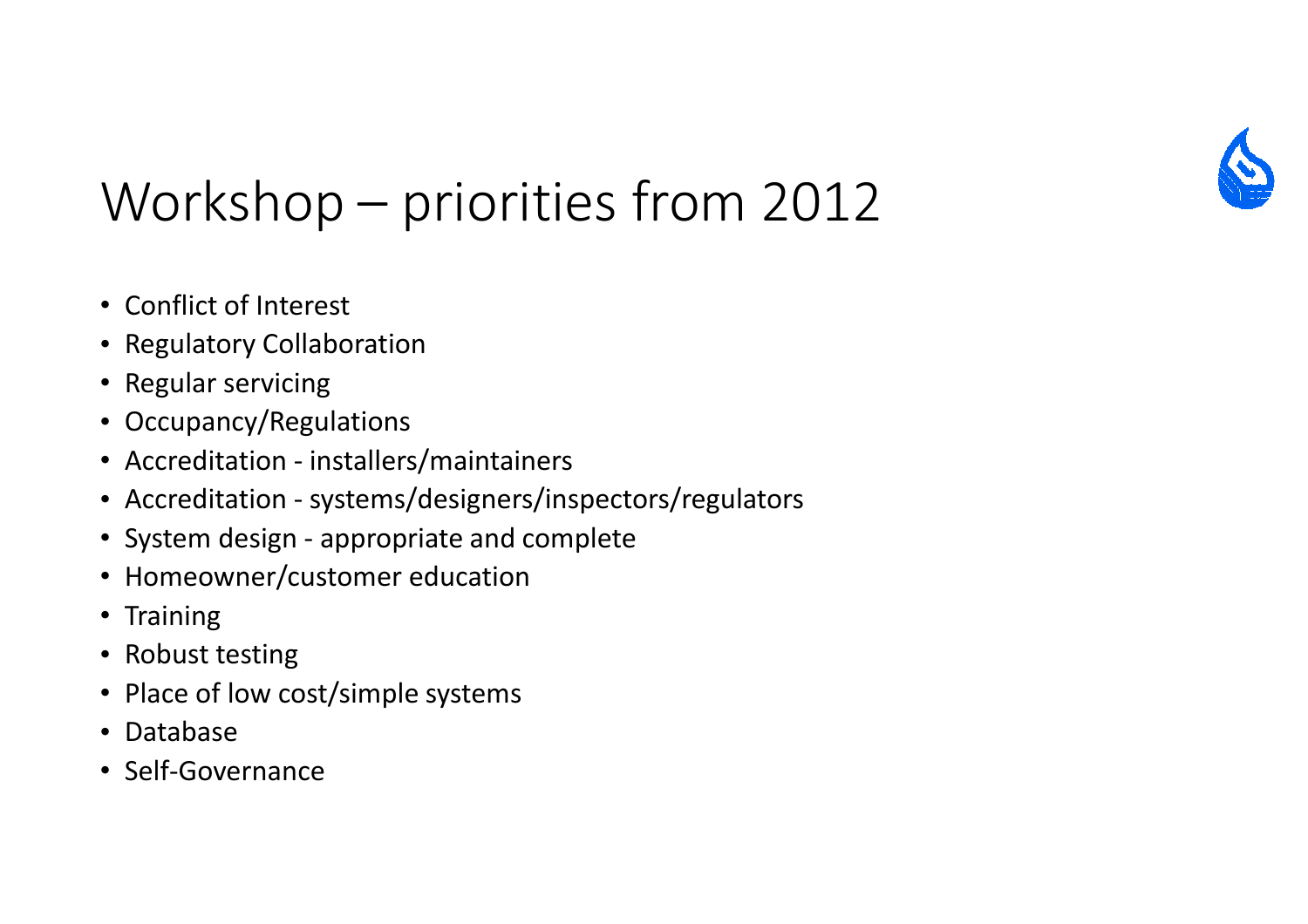

## Workshop – priorities from 2012

- Conflict of Interest
- Regulatory Collaboration
- Regular servicing
- Occupancy/Regulations
- Accreditation installers/maintainers
- Accreditation systems/designers/inspectors/regulators
- System design appropriate and complete
- Homeowner/customer education
- Training
- Robust testing
- Place of low cost/simple systems
- Database
- Self-Governance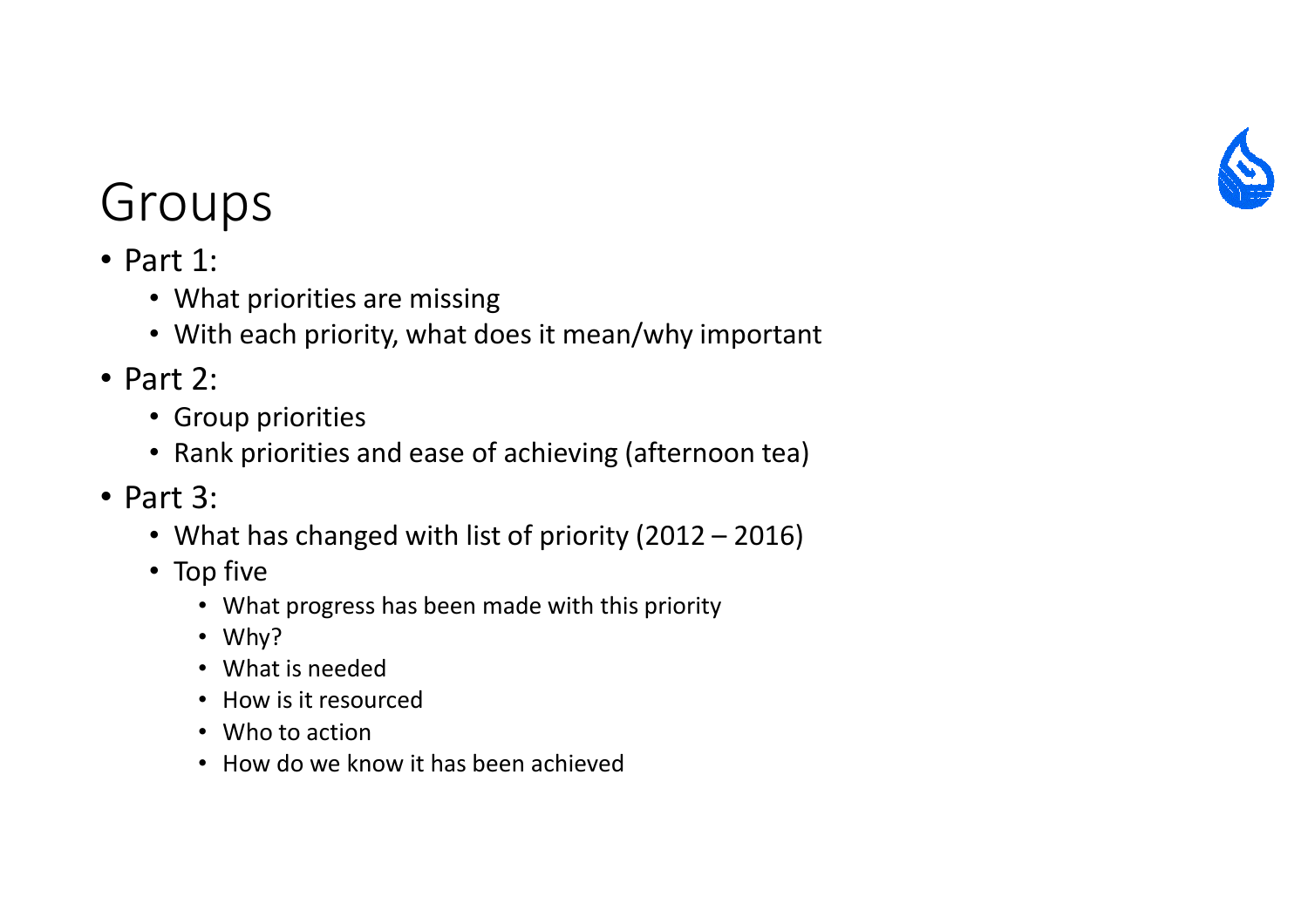

- Part 1:
	- What priorities are missing
	- With each priority, what does it mean/why important
- Part 2:
	- Group priorities
	- Rank priorities and ease of achieving (afternoon tea)
- Part 3:
	- What has changed with list of priority (2012 2016)
	- Top five
		- What progress has been made with this priority
		- Why?
		- What is needed
		- How is it resourced
		- Who to action
		- How do we know it has been achieved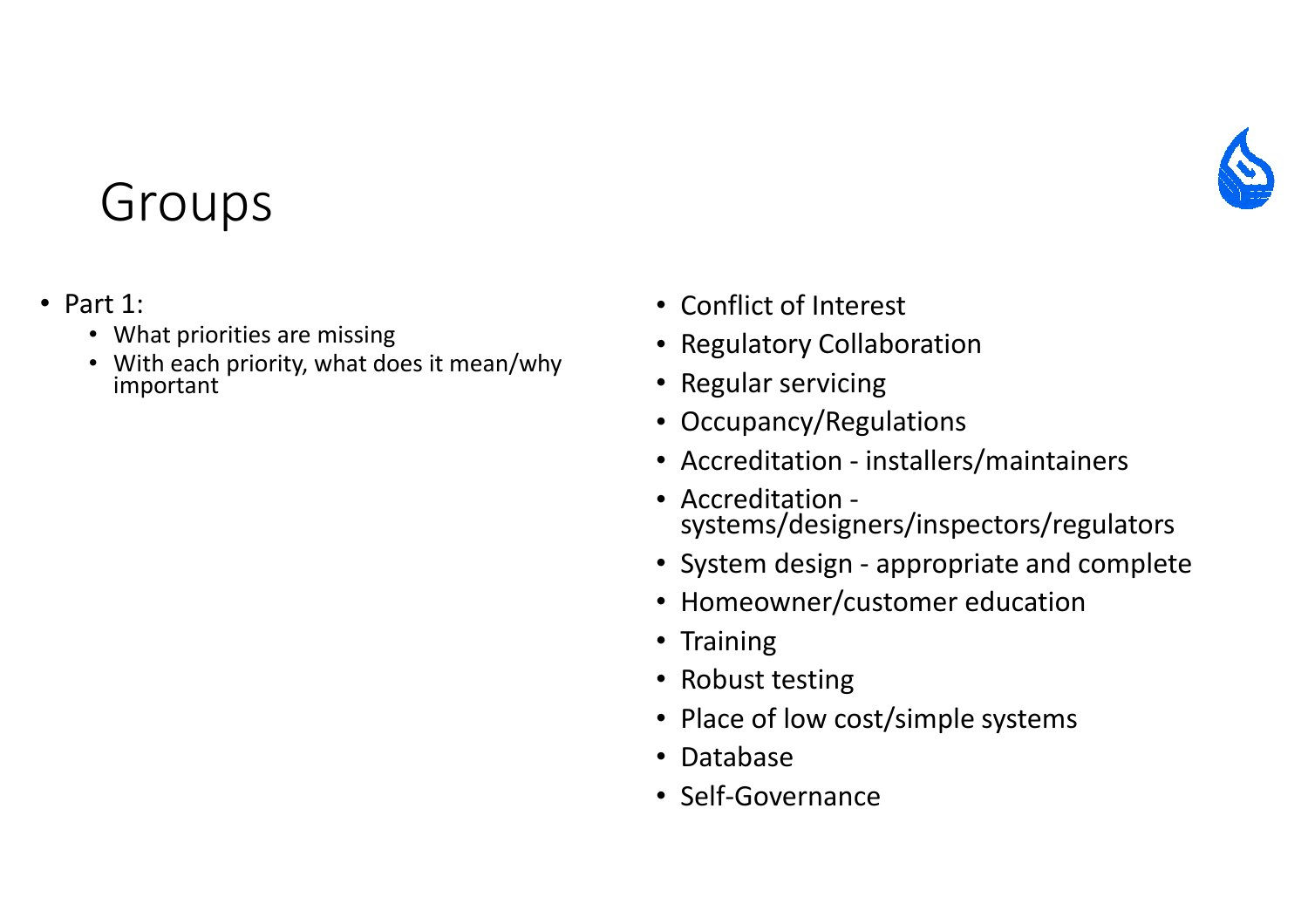

- Part 1:
	- What priorities are missing
	- With each priority, what does it mean/why important
- Conflict of Interest
- Regulatory Collaboration
- Regular servicing
- Occupancy/Regulations
- Accreditation installers/maintainers
- Accreditation systems/designers/inspectors/regulators
- System design appropriate and complete
- Homeowner/customer education
- Training
- Robust testing
- Place of low cost/simple systems
- Database
- Self-Governance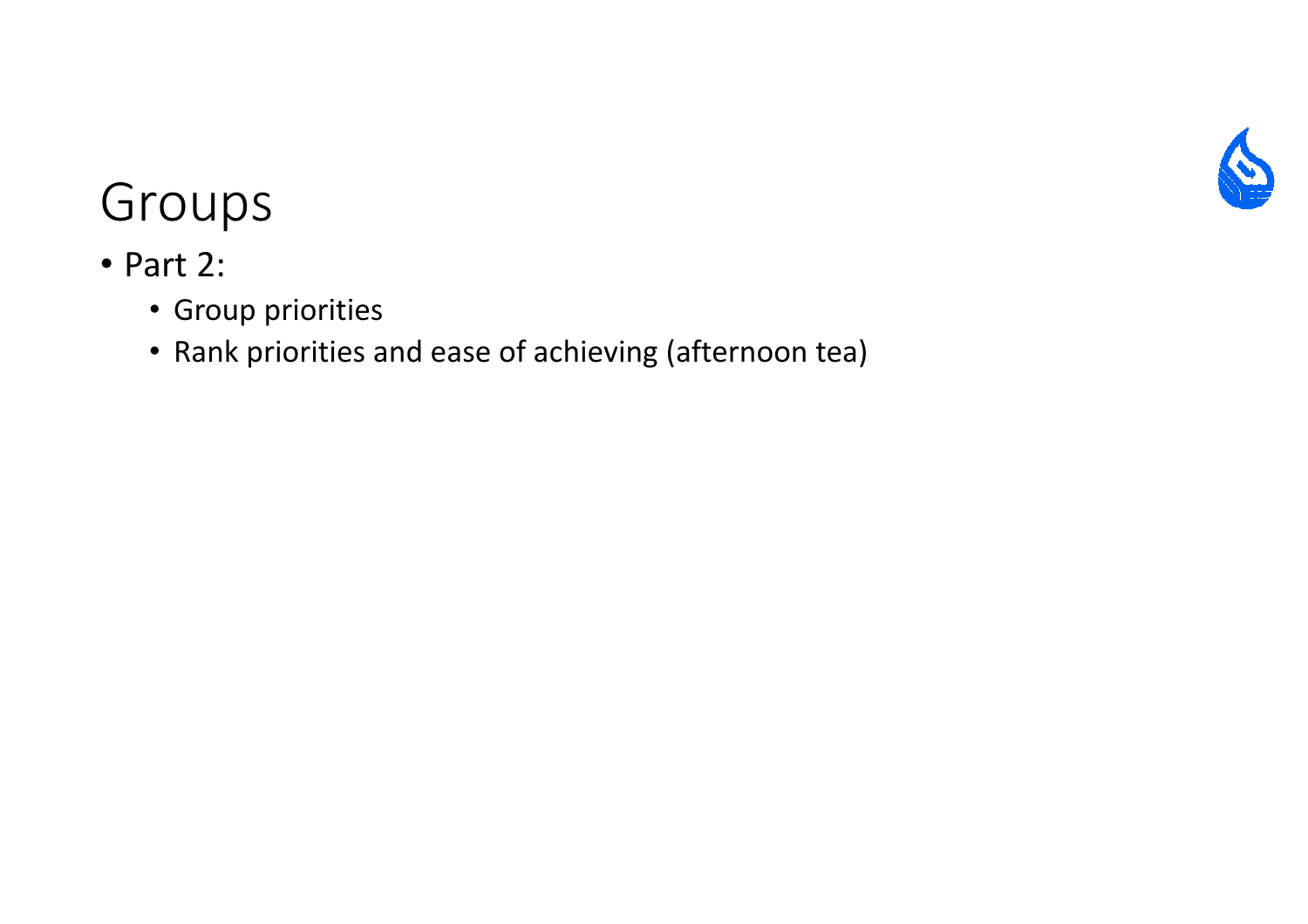

- Part 2:
	- Group priorities
	- Rank priorities and ease of achieving (afternoon tea)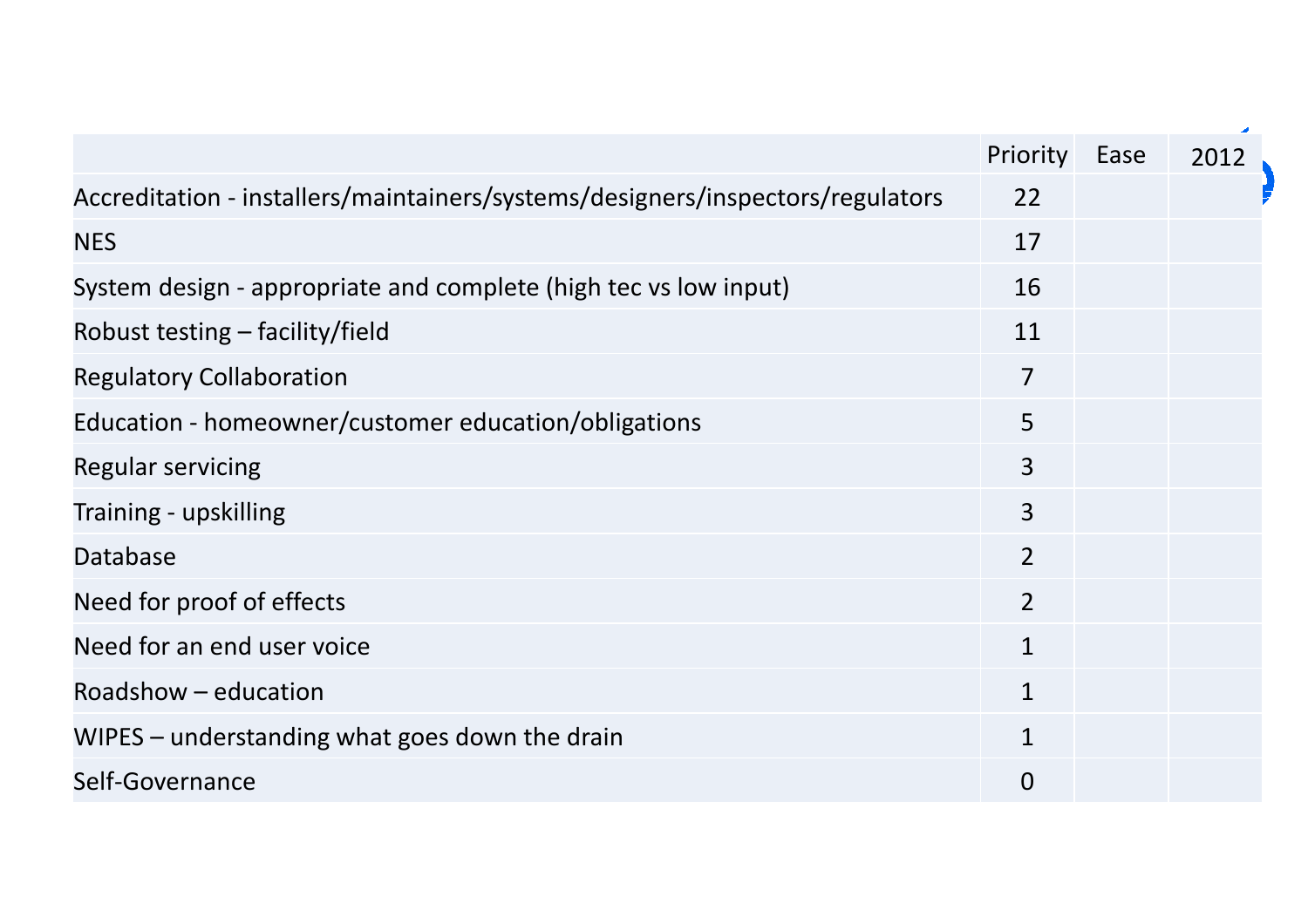|                                                                                | Priority       | Ease | 2012 |
|--------------------------------------------------------------------------------|----------------|------|------|
| Accreditation - installers/maintainers/systems/designers/inspectors/regulators | 22             |      |      |
| <b>NES</b>                                                                     | 17             |      |      |
| System design - appropriate and complete (high tec vs low input)               | 16             |      |      |
| Robust testing – facility/field                                                | 11             |      |      |
| <b>Regulatory Collaboration</b>                                                | $\overline{7}$ |      |      |
| Education - homeowner/customer education/obligations                           | 5              |      |      |
| <b>Regular servicing</b>                                                       | 3              |      |      |
| Training - upskilling                                                          | $\overline{3}$ |      |      |
| Database                                                                       | $\overline{2}$ |      |      |
| Need for proof of effects                                                      | $\overline{2}$ |      |      |
| Need for an end user voice                                                     | $\mathbf{1}$   |      |      |
| Roadshow - education                                                           | $\mathbf{1}$   |      |      |
| WIPES – understanding what goes down the drain                                 | $\mathbf{1}$   |      |      |
| Self-Governance                                                                | $\overline{0}$ |      |      |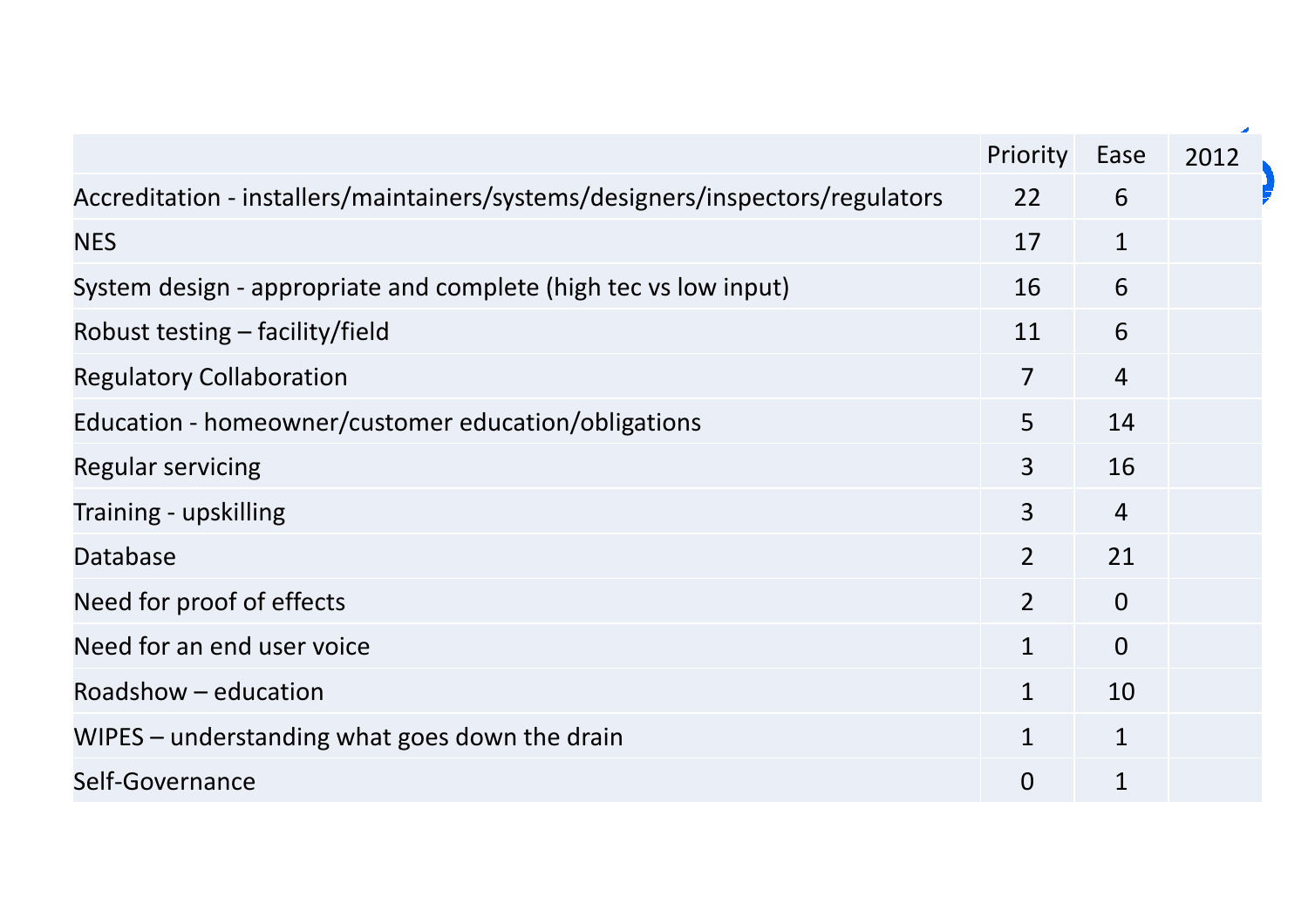|                                                                                | Priority       | Ease           | 2012 |
|--------------------------------------------------------------------------------|----------------|----------------|------|
| Accreditation - installers/maintainers/systems/designers/inspectors/regulators | 22             | 6              |      |
| <b>NES</b>                                                                     | 17             | $\mathbf{1}$   |      |
| System design - appropriate and complete (high tec vs low input)               | 16             | 6              |      |
| Robust testing – facility/field                                                | 11             | 6              |      |
| <b>Regulatory Collaboration</b>                                                | $\overline{7}$ | $\overline{4}$ |      |
| Education - homeowner/customer education/obligations                           | 5              | 14             |      |
| <b>Regular servicing</b>                                                       | $\overline{3}$ | 16             |      |
| Training - upskilling                                                          | $\overline{3}$ | $\overline{4}$ |      |
| Database                                                                       | $\overline{2}$ | 21             |      |
| Need for proof of effects                                                      | $\overline{2}$ | $\overline{0}$ |      |
| Need for an end user voice                                                     | $\mathbf{1}$   | $\overline{0}$ |      |
| Roadshow - education                                                           | $\mathbf{1}$   | 10             |      |
| WIPES – understanding what goes down the drain                                 | $\mathbf{1}$   | $\mathbf{1}$   |      |
| Self-Governance                                                                | $\overline{0}$ | $\mathbf{1}$   |      |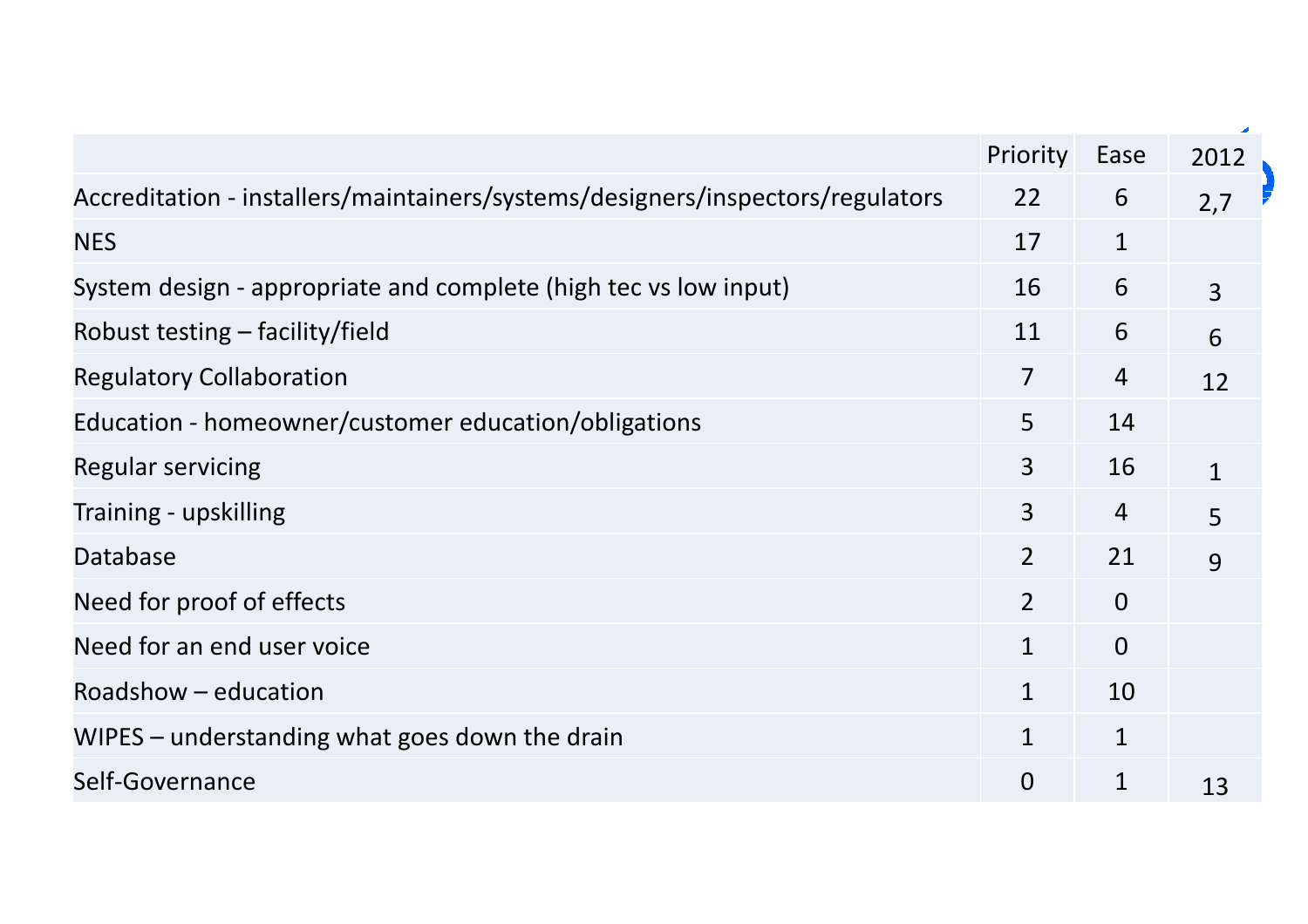| Priority<br>22<br>17<br>16<br>11 | Ease<br>6<br>$\mathbf{1}$<br>6 | 2012<br>2,7<br>$\overline{3}$ |
|----------------------------------|--------------------------------|-------------------------------|
|                                  |                                |                               |
|                                  |                                |                               |
|                                  |                                |                               |
|                                  |                                |                               |
|                                  | 6                              | 6                             |
| $\overline{7}$                   | $\overline{4}$                 | 12                            |
| 5                                | 14                             |                               |
| 3                                | 16                             | $\mathbf{1}$                  |
| $\overline{3}$                   | $\overline{4}$                 | 5                             |
| $\overline{2}$                   | 21                             | 9                             |
| $\overline{2}$                   | $\overline{0}$                 |                               |
| $\mathbf{1}$                     | $\overline{0}$                 |                               |
| $\mathbf{1}$                     | 10                             |                               |
| $\mathbf{1}$                     | $\mathbf{1}$                   |                               |
| $\Omega$                         | $\mathbf{1}$                   | 13                            |
|                                  |                                |                               |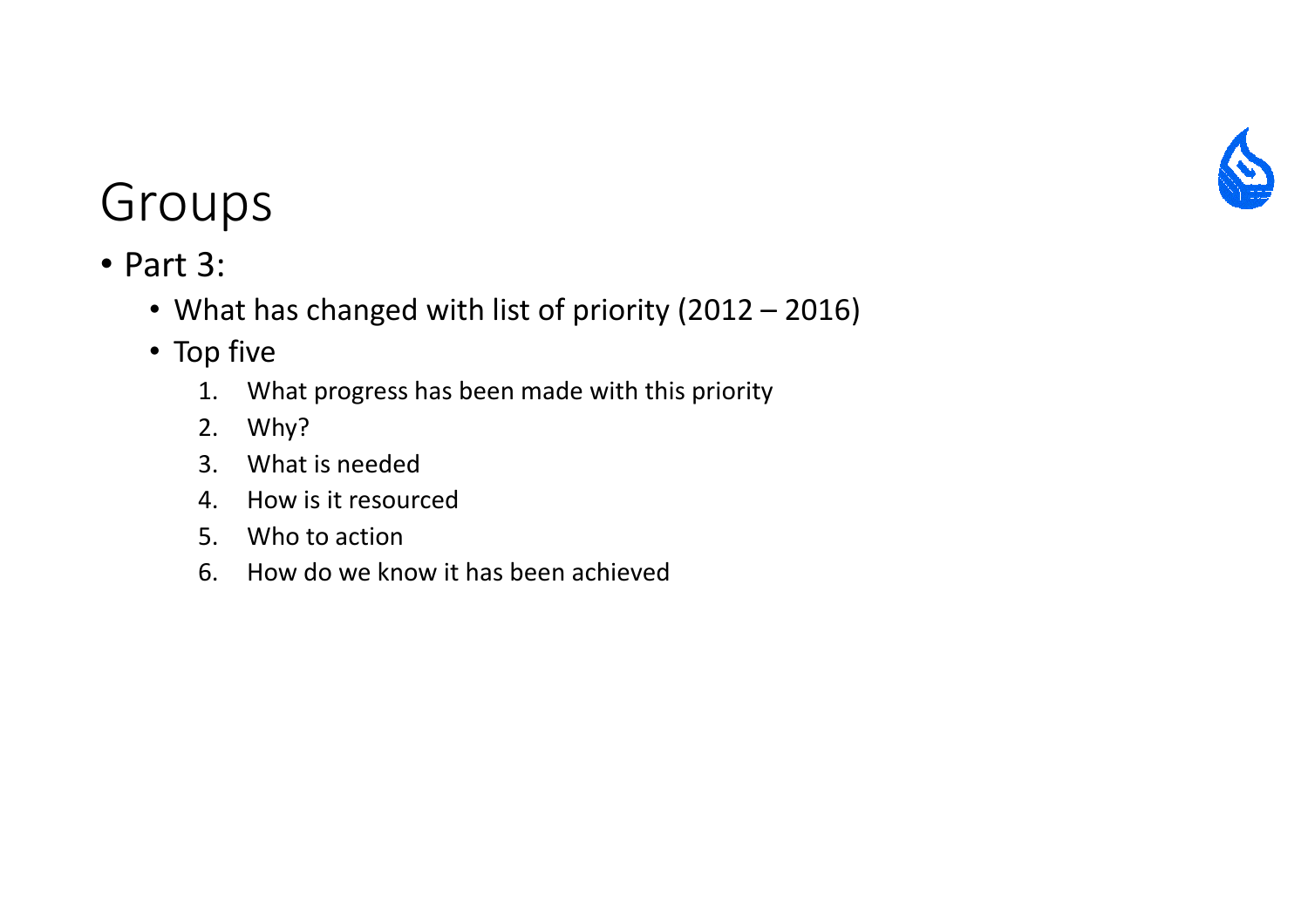

- Part 3:
	- What has changed with list of priority (2012 2016)
	- Top five
		- 1. What progress has been made with this priority
		- 2. Why?
		- 3. What is needed
		- 4. How is it resourced
		- 5. Who to action
		- 6. How do we know it has been achieved